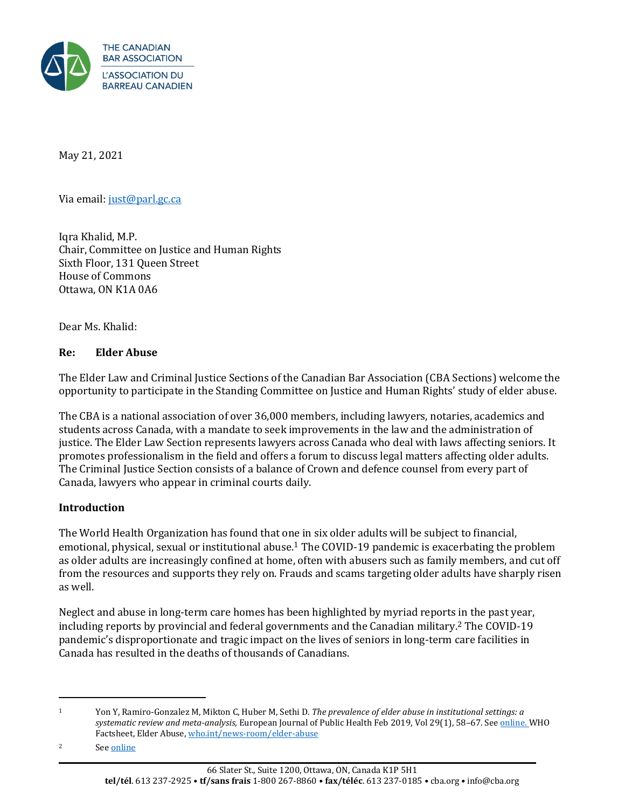

May 21, 2021

Via email[: just@parl.gc.ca](mailto:just@parl.gc.ca)

Iqra Khalid, M.P. Chair, Committee on Justice and Human Rights Sixth Floor, 131 Queen Street House of Commons Ottawa, ON K1A 0A6

Dear Ms. Khalid:

#### **Re: Elder Abuse**

The Elder Law and Criminal Justice Sections of the Canadian Bar Association (CBA Sections) welcome the opportunity to participate in the Standing Committee on Justice and Human Rights' study of elder abuse.

The CBA is a national association of over 36,000 members, including lawyers, notaries, academics and students across Canada, with a mandate to seek improvements in the law and the administration of justice. The Elder Law Section represents lawyers across Canada who deal with laws affecting seniors. It promotes professionalism in the field and offers a forum to discuss legal matters affecting older adults. The Criminal Justice Section consists of a balance of Crown and defence counsel from every part of Canada, lawyers who appear in criminal courts daily.

### **Introduction**

The World Health Organization has found that one in six older adults will be subject to financial, emotional, physical, sexual or institutional abuse.<sup>1</sup> The COVID-19 pandemic is exacerbating the problem as older adults are increasingly confined at home, often with abusers such as family members, and cut off from the resources and supports they rely on. Frauds and scams targeting older adults have sharply risen as well.

Neglect and abuse in long-term care homes has been highlighted by myriad reports in the past year, including reports by provincial and federal governments and the Canadian military.<sup>2</sup> The COVID-19 pandemic's disproportionate and tragic impact on the lives of seniors in long-term care facilities in Canada has resulted in the deaths of thousands of Canadians.

<sup>1</sup> Yon Y, Ramiro-Gonzalez M, Mikton C, Huber M, Sethi D. *The prevalence of elder abuse in institutional settings: a systematic review and meta-analysis,* European Journal of Public Health Feb 2019, Vol 29(1), 58–67. Se[e online.](https://can01.safelinks.protection.outlook.com/?url=https%3A%2F%2Fwww.ncbi.nlm.nih.gov%2Fpubmed%2F29878101&data=04%7C01%7Cmarcao%40cba.org%7C6699b722c32645e39d1608d9167c392b%7C62857f41bdb34f5dab05941ebe315f07%7C0%7C0%7C637565545050441739%7CUnknown%7CTWFpbGZsb3d8eyJWIjoiMC4wLjAwMDAiLCJQIjoiV2luMzIiLCJBTiI6Ik1haWwiLCJXVCI6Mn0%3D%7C1000&sdata=3WT7ENEBo91CI8kpr7h1dYSNf12riq7qYjXHqIUxByA%3D&reserved=0) WHO Factsheet, Elder Abuse[, who.int/news-room/elder-abuse](https://www.who.int/news-room/fact-sheets/detail/elder-abuse)

<sup>2</sup> See [online](https://www.theglobeandmail.com/canada/article-canadian-military-report-documents-deplorable-conditions-at-two/)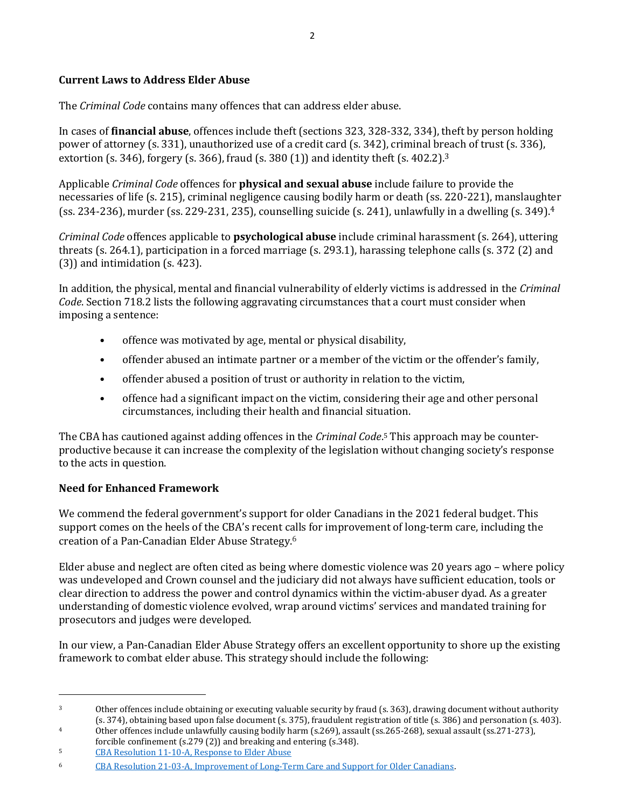## **Current Laws to Address Elder Abuse**

The *Criminal Code* contains many offences that can address elder abuse.

In cases of **financial abuse**, offences include theft (sections 323, 328-332, 334), theft by person holding power of attorney (s. 331), unauthorized use of a credit card (s. 342), criminal breach of trust (s. 336), extortion (s. 346), forgery (s. 366), fraud (s. 380 (1)) and identity theft (s.  $402.2$ ).<sup>3</sup>

Applicable *Criminal Code* offences for **physical and sexual abuse** include failure to provide the necessaries of life (s. 215), criminal negligence causing bodily harm or death (ss. 220-221), manslaughter (ss. 234-236), murder (ss. 229-231, 235), counselling suicide (s. 241), unlawfully in a dwelling (s. 349). $4$ 

*Criminal Code* offences applicable to **psychological abuse** include criminal harassment (s. 264), uttering threats (s. 264.1), participation in a forced marriage (s. 293.1), harassing telephone calls (s. 372 (2) and (3)) and intimidation (s. 423).

In addition, the physical, mental and financial vulnerability of elderly victims is addressed in the *Criminal Code*. Section 718.2 lists the following aggravating circumstances that a court must consider when imposing a sentence:

- offence was motivated by age, mental or physical disability,
- offender abused an intimate partner or a member of the victim or the offender's family,
- offender abused a position of trust or authority in relation to the victim,
- offence had a significant impact on the victim, considering their age and other personal circumstances, including their health and financial situation.

The CBA has cautioned against adding offences in the *Criminal Code*. <sup>5</sup> This approach may be counterproductive because it can increase the complexity of the legislation without changing society's response to the acts in question.

# **Need for Enhanced Framework**

We commend the federal government's support for older Canadians in the 2021 federal budget. This support comes on the heels of the CBA's recent calls for improvement of long-term care, including the creation of a Pan-Canadian Elder Abuse Strategy.<sup>6</sup>

Elder abuse and neglect are often cited as being where domestic violence was 20 years ago – where policy was undeveloped and Crown counsel and the judiciary did not always have sufficient education, tools or clear direction to address the power and control dynamics within the victim-abuser dyad. As a greater understanding of domestic violence evolved, wrap around victims' services and mandated training for prosecutors and judges were developed.

In our view, a Pan-Canadian Elder Abuse Strategy offers an excellent opportunity to shore up the existing framework to combat elder abuse. This strategy should include the following:

<sup>4</sup> Other offences include unlawfully causing bodily harm (s.269), assault (ss.265-268), sexual assault (ss.271-273),

<sup>&</sup>lt;sup>3</sup> Other offences include obtaining or executing valuable security by fraud (s. 363), drawing document without authority (s. 374), obtaining based upon false document (s. 375), fraudulent registration of title (s. 386) and personation (s. 403).

forcible confinement (s.279 (2)) and breaking and entering (s.348).

<sup>5</sup> [CBA Resolution 11-10-A, Response to Elder Abuse](https://www.cba.org/getattachment/Our-Work/Resolutions/CBA)

<sup>6</sup> [CBA Resolution 21-03-A, Improvement of Long-Term Care and Support for Older Canadians.](https://www.cba.org/Our-Work/Resolutions/Resolutions/2021/Improvement-of-Long-Term-Care-and-Support-for-Olde)